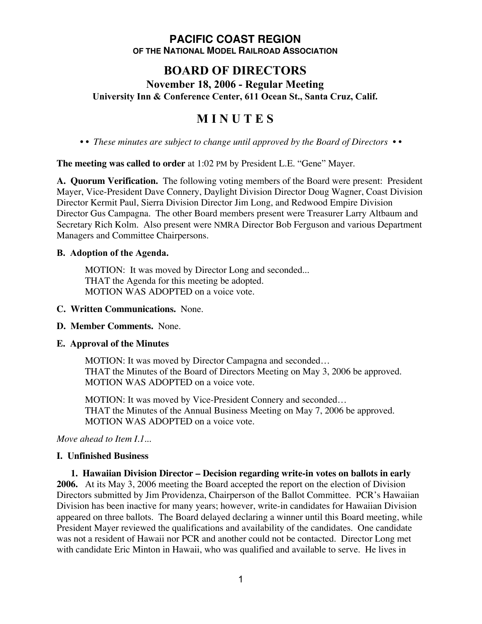## **PACIFIC COAST REGION OF THE NATIONAL MODEL RAILROAD ASSOCIATION**

# **BOARD OF DIRECTORS**

**November 18, 2006 - Regular Meeting University Inn & Conference Center, 611 Ocean St., Santa Cruz, Calif.**

# **M I N U T E S**

*• • These minutes are subject to change until approved by the Board of Directors • •*

**The meeting was called to order** at 1:02 PM by President L.E. "Gene" Mayer.

**A. Quorum Verification.** The following voting members of the Board were present: President Mayer, Vice-President Dave Connery, Daylight Division Director Doug Wagner, Coast Division Director Kermit Paul, Sierra Division Director Jim Long, and Redwood Empire Division Director Gus Campagna. The other Board members present were Treasurer Larry Altbaum and Secretary Rich Kolm. Also present were NMRA Director Bob Ferguson and various Department Managers and Committee Chairpersons.

#### **B. Adoption of the Agenda.**

MOTION: It was moved by Director Long and seconded... THAT the Agenda for this meeting be adopted. MOTION WAS ADOPTED on a voice vote.

#### **C. Written Communications.** None.

#### **D. Member Comments.** None.

#### **E. Approval of the Minutes**

MOTION: It was moved by Director Campagna and seconded… THAT the Minutes of the Board of Directors Meeting on May 3, 2006 be approved. MOTION WAS ADOPTED on a voice vote.

MOTION: It was moved by Vice-President Connery and seconded… THAT the Minutes of the Annual Business Meeting on May 7, 2006 be approved. MOTION WAS ADOPTED on a voice vote.

*Move ahead to Item I.1...*

#### **I. Unfinished Business**

**1. Hawaiian Division Director – Decision regarding write-in votes on ballots in early 2006.** At its May 3, 2006 meeting the Board accepted the report on the election of Division Directors submitted by Jim Providenza, Chairperson of the Ballot Committee. PCR's Hawaiian Division has been inactive for many years; however, write-in candidates for Hawaiian Division appeared on three ballots. The Board delayed declaring a winner until this Board meeting, while President Mayer reviewed the qualifications and availability of the candidates. One candidate was not a resident of Hawaii nor PCR and another could not be contacted. Director Long met with candidate Eric Minton in Hawaii, who was qualified and available to serve. He lives in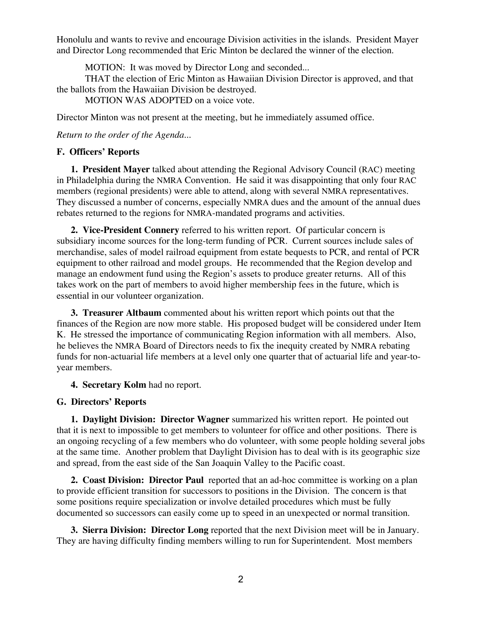Honolulu and wants to revive and encourage Division activities in the islands. President Mayer and Director Long recommended that Eric Minton be declared the winner of the election.

MOTION: It was moved by Director Long and seconded...

THAT the election of Eric Minton as Hawaiian Division Director is approved, and that the ballots from the Hawaiian Division be destroyed.

MOTION WAS ADOPTED on a voice vote.

Director Minton was not present at the meeting, but he immediately assumed office.

*Return to the order of the Agenda...*

#### **F. Officers' Reports**

**1. President Mayer** talked about attending the Regional Advisory Council (RAC) meeting in Philadelphia during the NMRA Convention. He said it was disappointing that only four RAC members (regional presidents) were able to attend, along with several NMRA representatives. They discussed a number of concerns, especially NMRA dues and the amount of the annual dues rebates returned to the regions for NMRA-mandated programs and activities.

**2. Vice-President Connery** referred to his written report. Of particular concern is subsidiary income sources for the long-term funding of PCR. Current sources include sales of merchandise, sales of model railroad equipment from estate bequests to PCR, and rental of PCR equipment to other railroad and model groups. He recommended that the Region develop and manage an endowment fund using the Region's assets to produce greater returns. All of this takes work on the part of members to avoid higher membership fees in the future, which is essential in our volunteer organization.

**3. Treasurer Altbaum** commented about his written report which points out that the finances of the Region are now more stable. His proposed budget will be considered under Item K. He stressed the importance of communicating Region information with all members. Also, he believes the NMRA Board of Directors needs to fix the inequity created by NMRA rebating funds for non-actuarial life members at a level only one quarter that of actuarial life and year-toyear members.

#### **4. Secretary Kolm** had no report.

#### **G. Directors' Reports**

**1. Daylight Division: Director Wagner** summarized his written report. He pointed out that it is next to impossible to get members to volunteer for office and other positions. There is an ongoing recycling of a few members who do volunteer, with some people holding several jobs at the same time. Another problem that Daylight Division has to deal with is its geographic size and spread, from the east side of the San Joaquin Valley to the Pacific coast.

**2. Coast Division: Director Paul** reported that an ad-hoc committee is working on a plan to provide efficient transition for successors to positions in the Division. The concern is that some positions require specialization or involve detailed procedures which must be fully documented so successors can easily come up to speed in an unexpected or normal transition.

**3. Sierra Division: Director Long** reported that the next Division meet will be in January. They are having difficulty finding members willing to run for Superintendent. Most members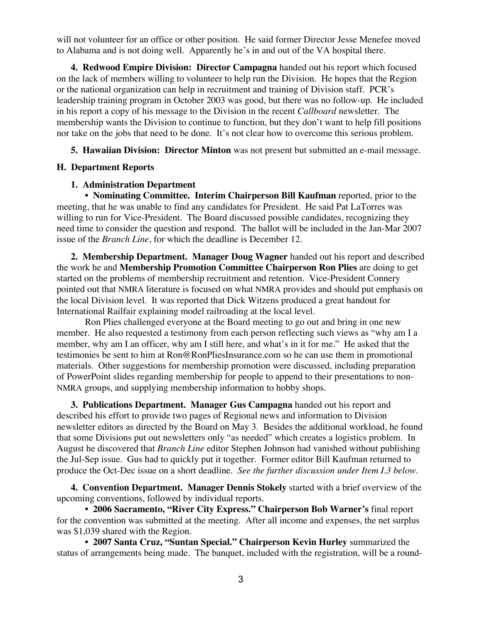will not volunteer for an office or other position. He said former Director Jesse Menefee moved to Alabama and is not doing well. Apparently he's in and out of the VA hospital there.

**4. Redwood Empire Division: Director Campagna** handed out his report which focused on the lack of members willing to volunteer to help run the Division. He hopes that the Region or the national organization can help in recruitment and training of Division staff. PCR's leadership training program in October 2003 was good, but there was no follow-up. He included in his report a copy of his message to the Division in the recent *Callboard* newsletter. The membership wants the Division to continue to function, but they don't want to help fill positions nor take on the jobs that need to be done. It's not clear how to overcome this serious problem.

**5. Hawaiian Division: Director Minton** was not present but submitted an e-mail message.

#### **H. Department Reports**

#### **1. Administration Department**

**• Nominating Committee. Interim Chairperson Bill Kaufman** reported, prior to the meeting, that he was unable to find any candidates for President. He said Pat LaTorres was willing to run for Vice-President. The Board discussed possible candidates, recognizing they need time to consider the question and respond. The ballot will be included in the Jan-Mar 2007 issue of the *Branch Line*, for which the deadline is December 12.

**2. Membership Department. Manager Doug Wagner** handed out his report and described the work he and **Membership Promotion Committee Chairperson Ron Plies** are doing to get started on the problems of membership recruitment and retention. Vice-President Connery pointed out that NMRA literature is focused on what NMRA provides and should put emphasis on the local Division level. It was reported that Dick Witzens produced a great handout for International Railfair explaining model railroading at the local level.

Ron Plies challenged everyone at the Board meeting to go out and bring in one new member. He also requested a testimony from each person reflecting such views as "why am I a member, why am I an officer, why am I still here, and what's in it for me." He asked that the testimonies be sent to him at Ron@RonPliesInsurance.com so he can use them in promotional materials. Other suggestions for membership promotion were discussed, including preparation of PowerPoint slides regarding membership for people to append to their presentations to non-NMRA groups, and supplying membership information to hobby shops.

**3. Publications Department. Manager Gus Campagna** handed out his report and described his effort to provide two pages of Regional news and information to Division newsletter editors as directed by the Board on May 3. Besides the additional workload, he found that some Divisions put out newsletters only "as needed" which creates a logistics problem. In August he discovered that *Branch Line* editor Stephen Johnson had vanished without publishing the Jul-Sep issue. Gus had to quickly put it together. Former editor Bill Kaufman returned to produce the Oct-Dec issue on a short deadline. *See the further discussion under Item I.3 below.*

**4. Convention Department. Manager Dennis Stokely** started with a brief overview of the upcoming conventions, followed by individual reports.

**• 2006 Sacramento, "River City Express." Chairperson Bob Warner's** final report for the convention was submitted at the meeting. After all income and expenses, the net surplus was \$1,039 shared with the Region.

• **2007 Santa Cruz, "Suntan Special." Chairperson Kevin Hurley** summarized the status of arrangements being made. The banquet, included with the registration, will be a round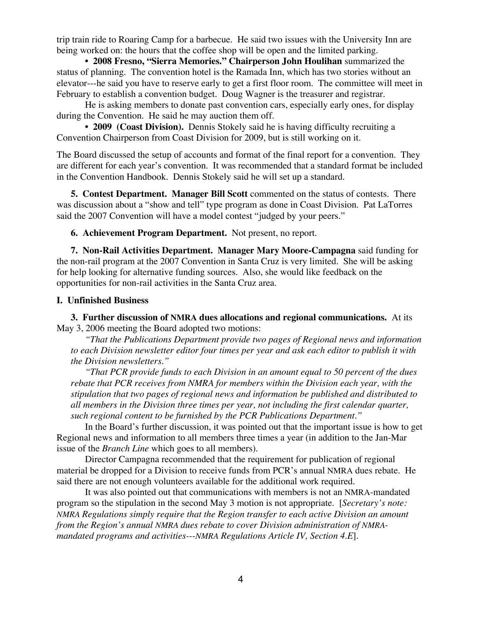trip train ride to Roaring Camp for a barbecue. He said two issues with the University Inn are being worked on: the hours that the coffee shop will be open and the limited parking.

**• 2008 Fresno, "Sierra Memories." Chairperson John Houlihan** summarized the status of planning. The convention hotel is the Ramada Inn, which has two stories without an elevator---he said you have to reserve early to get a first floor room. The committee will meet in February to establish a convention budget. Doug Wagner is the treasurer and registrar.

He is asking members to donate past convention cars, especially early ones, for display during the Convention. He said he may auction them off.

**• 2009 (Coast Division).** Dennis Stokely said he is having difficulty recruiting a Convention Chairperson from Coast Division for 2009, but is still working on it.

The Board discussed the setup of accounts and format of the final report for a convention. They are different for each year's convention. It was recommended that a standard format be included in the Convention Handbook. Dennis Stokely said he will set up a standard.

**5. Contest Department. Manager Bill Scott** commented on the status of contests. There was discussion about a "show and tell" type program as done in Coast Division. Pat LaTorres said the 2007 Convention will have a model contest "judged by your peers."

**6. Achievement Program Department.** Not present, no report.

**7. Non-Rail Activities Department. Manager Mary Moore-Campagna** said funding for the non-rail program at the 2007 Convention in Santa Cruz is very limited. She will be asking for help looking for alternative funding sources. Also, she would like feedback on the opportunities for non-rail activities in the Santa Cruz area.

#### **I. Unfinished Business**

**3. Further discussion of NMRA dues allocations and regional communications.** At its May 3, 2006 meeting the Board adopted two motions:

*"That the Publications Department provide two pages of Regional news and information to each Division newsletter editor four times per year and ask each editor to publish it with the Division newsletters."*

*"That PCR provide funds to each Division in an amount equal to 50 percent of the dues rebate that PCR receives from NMRA for members within the Division each year, with the stipulation that two pages of regional news and information be published and distributed to all members in the Division three times per year, not including the first calendar quarter, such regional content to be furnished by the PCR Publications Department."*

In the Board's further discussion, it was pointed out that the important issue is how to get Regional news and information to all members three times a year (in addition to the Jan-Mar issue of the *Branch Line* which goes to all members).

Director Campagna recommended that the requirement for publication of regional material be dropped for a Division to receive funds from PCR's annual NMRA dues rebate. He said there are not enough volunteers available for the additional work required.

It was also pointed out that communications with members is not an NMRA-mandated program so the stipulation in the second May 3 motion is not appropriate. [*Secretary's note: NMRA Regulations simply require that the Region transfer to each active Division an amount from the Region's annual NMRA dues rebate to cover Division administration of NMRAmandated programs and activities---NMRA Regulations Article IV, Section 4.E*].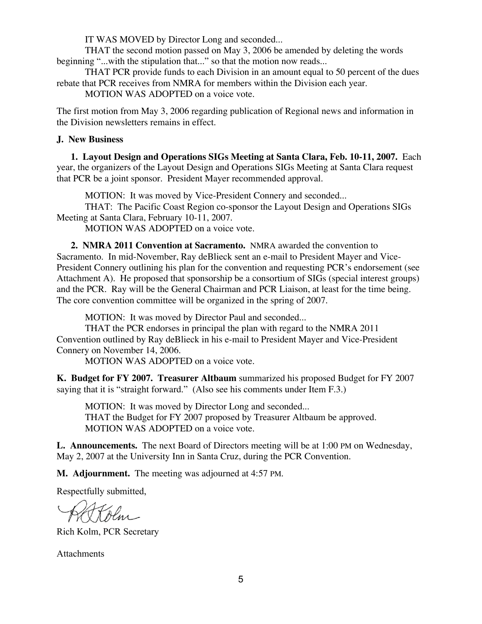IT WAS MOVED by Director Long and seconded...

THAT the second motion passed on May 3, 2006 be amended by deleting the words beginning "...with the stipulation that..." so that the motion now reads...

THAT PCR provide funds to each Division in an amount equal to 50 percent of the dues rebate that PCR receives from NMRA for members within the Division each year.

MOTION WAS ADOPTED on a voice vote.

The first motion from May 3, 2006 regarding publication of Regional news and information in the Division newsletters remains in effect.

### **J. New Business**

**1. Layout Design and Operations SIGs Meeting at Santa Clara, Feb. 10-11, 2007.** Each year, the organizers of the Layout Design and Operations SIGs Meeting at Santa Clara request that PCR be a joint sponsor. President Mayer recommended approval.

MOTION: It was moved by Vice-President Connery and seconded...

THAT: The Pacific Coast Region co-sponsor the Layout Design and Operations SIGs Meeting at Santa Clara, February 10-11, 2007.

MOTION WAS ADOPTED on a voice vote.

**2. NMRA 2011 Convention at Sacramento.** NMRA awarded the convention to Sacramento. In mid-November, Ray deBlieck sent an e-mail to President Mayer and Vice-President Connery outlining his plan for the convention and requesting PCR's endorsement (see Attachment A). He proposed that sponsorship be a consortium of SIGs (special interest groups) and the PCR. Ray will be the General Chairman and PCR Liaison, at least for the time being. The core convention committee will be organized in the spring of 2007.

MOTION: It was moved by Director Paul and seconded...

THAT the PCR endorses in principal the plan with regard to the NMRA 2011 Convention outlined by Ray deBlieck in his e-mail to President Mayer and Vice-President Connery on November 14, 2006.

MOTION WAS ADOPTED on a voice vote.

**K. Budget for FY 2007. Treasurer Altbaum** summarized his proposed Budget for FY 2007 saying that it is "straight forward." (Also see his comments under Item F.3.)

MOTION: It was moved by Director Long and seconded... THAT the Budget for FY 2007 proposed by Treasurer Altbaum be approved. MOTION WAS ADOPTED on a voice vote.

**L. Announcements.** The next Board of Directors meeting will be at 1:00 PM on Wednesday, May 2, 2007 at the University Inn in Santa Cruz, during the PCR Convention.

**M. Adjournment.** The meeting was adjourned at 4:57 PM.

Respectfully submitted,

Kolm

Rich Kolm, PCR Secretary

**Attachments**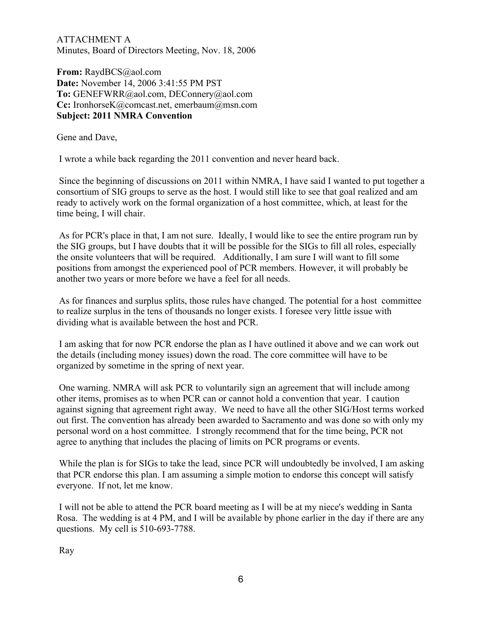ATTACHMENT A Minutes, Board of Directors Meeting, Nov. 18, 2006

**From:** RaydBCS@aol.com **Date:** November 14, 2006 3:41:55 PM PST **To:** GENEFWRR@aol.com, DEConnery@aol.com **Cc:** IronhorseK@comcast.net, emerbaum@msn.com **Subject: 2011 NMRA Convention**

Gene and Dave,

I wrote a while back regarding the 2011 convention and never heard back.

 Since the beginning of discussions on 2011 within NMRA, I have said I wanted to put together a consortium of SIG groups to serve as the host. I would still like to see that goal realized and am ready to actively work on the formal organization of a host committee, which, at least for the time being, I will chair.

 As for PCR's place in that, I am not sure. Ideally, I would like to see the entire program run by the SIG groups, but I have doubts that it will be possible for the SIGs to fill all roles, especially the onsite volunteers that will be required. Additionally, I am sure I will want to fill some positions from amongst the experienced pool of PCR members. However, it will probably be another two years or more before we have a feel for all needs.

 As for finances and surplus splits, those rules have changed. The potential for a host committee to realize surplus in the tens of thousands no longer exists. I foresee very little issue with dividing what is available between the host and PCR.

 I am asking that for now PCR endorse the plan as I have outlined it above and we can work out the details (including money issues) down the road. The core committee will have to be organized by sometime in the spring of next year.

 One warning. NMRA will ask PCR to voluntarily sign an agreement that will include among other items, promises as to when PCR can or cannot hold a convention that year. I caution against signing that agreement right away. We need to have all the other SIG/Host terms worked out first. The convention has already been awarded to Sacramento and was done so with only my personal word on a host committee. I strongly recommend that for the time being, PCR not agree to anything that includes the placing of limits on PCR programs or events.

 While the plan is for SIGs to take the lead, since PCR will undoubtedly be involved, I am asking that PCR endorse this plan. I am assuming a simple motion to endorse this concept will satisfy everyone. If not, let me know.

 I will not be able to attend the PCR board meeting as I will be at my niece's wedding in Santa Rosa. The wedding is at 4 PM, and I will be available by phone earlier in the day if there are any questions. My cell is 510-693-7788.

Ray